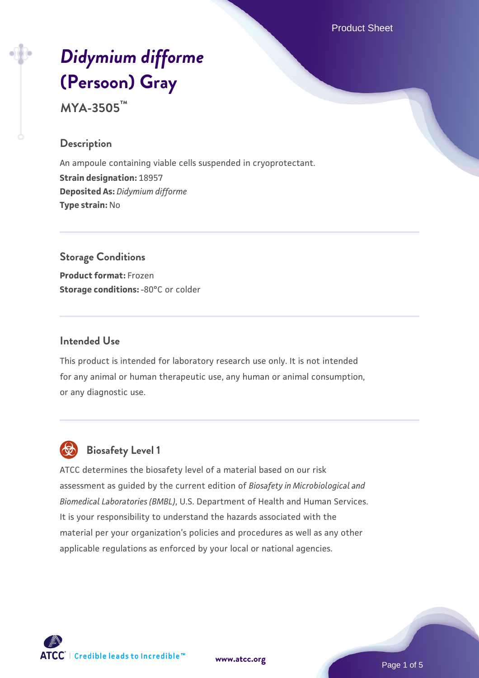Product Sheet

# *[Didymium difforme](https://www.atcc.org/products/mya-3505)* **[\(Persoon\) Gray](https://www.atcc.org/products/mya-3505)**

**MYA-3505™**

## **Description**

An ampoule containing viable cells suspended in cryoprotectant. **Strain designation:** 18957 **Deposited As:** *Didymium difforme* **Type strain:** No

# **Storage Conditions**

**Product format:** Frozen **Storage conditions: -80°C or colder** 

## **Intended Use**

This product is intended for laboratory research use only. It is not intended for any animal or human therapeutic use, any human or animal consumption, or any diagnostic use.



## **Biosafety Level 1**

ATCC determines the biosafety level of a material based on our risk assessment as guided by the current edition of *Biosafety in Microbiological and Biomedical Laboratories (BMBL)*, U.S. Department of Health and Human Services. It is your responsibility to understand the hazards associated with the material per your organization's policies and procedures as well as any other applicable regulations as enforced by your local or national agencies.

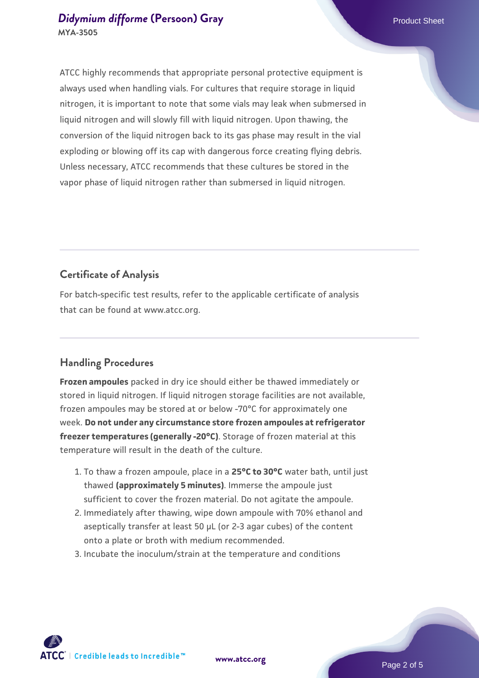## *[Didymium difforme](https://www.atcc.org/products/mya-3505)* [\(Persoon\) Gray](https://www.atcc.org/products/mya-3505) **Product Sheet** Product Sheet **MYA-3505**

ATCC highly recommends that appropriate personal protective equipment is always used when handling vials. For cultures that require storage in liquid nitrogen, it is important to note that some vials may leak when submersed in liquid nitrogen and will slowly fill with liquid nitrogen. Upon thawing, the conversion of the liquid nitrogen back to its gas phase may result in the vial exploding or blowing off its cap with dangerous force creating flying debris. Unless necessary, ATCC recommends that these cultures be stored in the vapor phase of liquid nitrogen rather than submersed in liquid nitrogen.

## **Certificate of Analysis**

For batch-specific test results, refer to the applicable certificate of analysis that can be found at www.atcc.org.

# **Handling Procedures**

**Frozen ampoules** packed in dry ice should either be thawed immediately or stored in liquid nitrogen. If liquid nitrogen storage facilities are not available, frozen ampoules may be stored at or below -70°C for approximately one week. **Do not under any circumstance store frozen ampoules at refrigerator freezer temperatures (generally -20°C)**. Storage of frozen material at this temperature will result in the death of the culture.

- 1. To thaw a frozen ampoule, place in a **25°C to 30°C** water bath, until just thawed **(approximately 5 minutes)**. Immerse the ampoule just sufficient to cover the frozen material. Do not agitate the ampoule.
- 2. Immediately after thawing, wipe down ampoule with 70% ethanol and aseptically transfer at least 50 µL (or 2-3 agar cubes) of the content onto a plate or broth with medium recommended.
- 3. Incubate the inoculum/strain at the temperature and conditions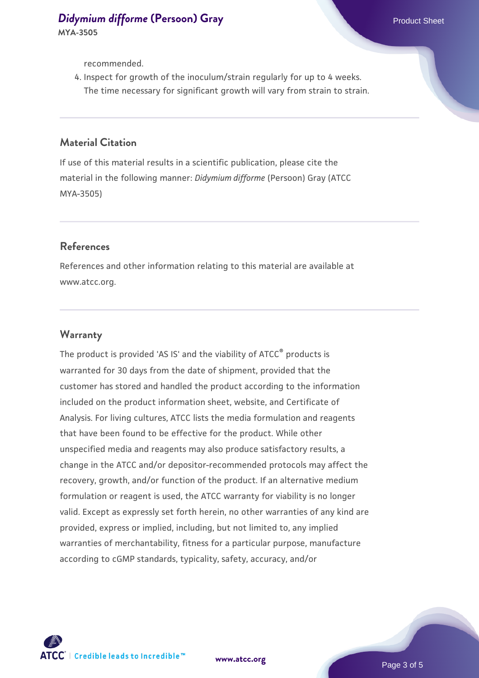recommended.

4. Inspect for growth of the inoculum/strain regularly for up to 4 weeks. The time necessary for significant growth will vary from strain to strain.

#### **Material Citation**

If use of this material results in a scientific publication, please cite the material in the following manner: *Didymium difforme* (Persoon) Gray (ATCC MYA-3505)

#### **References**

References and other information relating to this material are available at www.atcc.org.

#### **Warranty**

The product is provided 'AS IS' and the viability of ATCC® products is warranted for 30 days from the date of shipment, provided that the customer has stored and handled the product according to the information included on the product information sheet, website, and Certificate of Analysis. For living cultures, ATCC lists the media formulation and reagents that have been found to be effective for the product. While other unspecified media and reagents may also produce satisfactory results, a change in the ATCC and/or depositor-recommended protocols may affect the recovery, growth, and/or function of the product. If an alternative medium formulation or reagent is used, the ATCC warranty for viability is no longer valid. Except as expressly set forth herein, no other warranties of any kind are provided, express or implied, including, but not limited to, any implied warranties of merchantability, fitness for a particular purpose, manufacture according to cGMP standards, typicality, safety, accuracy, and/or



**[www.atcc.org](http://www.atcc.org)**

Page 3 of 5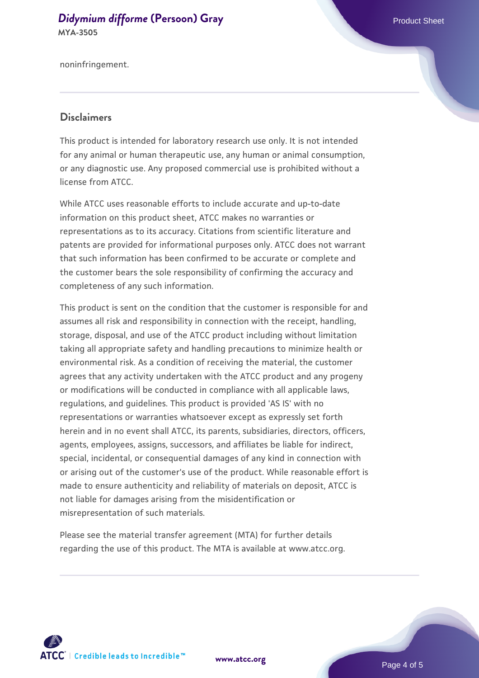#### *[Didymium difforme](https://www.atcc.org/products/mya-3505)* [\(Persoon\) Gray](https://www.atcc.org/products/mya-3505) **Product Sheet** Product Sheet **MYA-3505**

noninfringement.

## **Disclaimers**

This product is intended for laboratory research use only. It is not intended for any animal or human therapeutic use, any human or animal consumption, or any diagnostic use. Any proposed commercial use is prohibited without a license from ATCC.

While ATCC uses reasonable efforts to include accurate and up-to-date information on this product sheet, ATCC makes no warranties or representations as to its accuracy. Citations from scientific literature and patents are provided for informational purposes only. ATCC does not warrant that such information has been confirmed to be accurate or complete and the customer bears the sole responsibility of confirming the accuracy and completeness of any such information.

This product is sent on the condition that the customer is responsible for and assumes all risk and responsibility in connection with the receipt, handling, storage, disposal, and use of the ATCC product including without limitation taking all appropriate safety and handling precautions to minimize health or environmental risk. As a condition of receiving the material, the customer agrees that any activity undertaken with the ATCC product and any progeny or modifications will be conducted in compliance with all applicable laws, regulations, and guidelines. This product is provided 'AS IS' with no representations or warranties whatsoever except as expressly set forth herein and in no event shall ATCC, its parents, subsidiaries, directors, officers, agents, employees, assigns, successors, and affiliates be liable for indirect, special, incidental, or consequential damages of any kind in connection with or arising out of the customer's use of the product. While reasonable effort is made to ensure authenticity and reliability of materials on deposit, ATCC is not liable for damages arising from the misidentification or misrepresentation of such materials.

Please see the material transfer agreement (MTA) for further details regarding the use of this product. The MTA is available at www.atcc.org.



**[www.atcc.org](http://www.atcc.org)**

Page 4 of 5